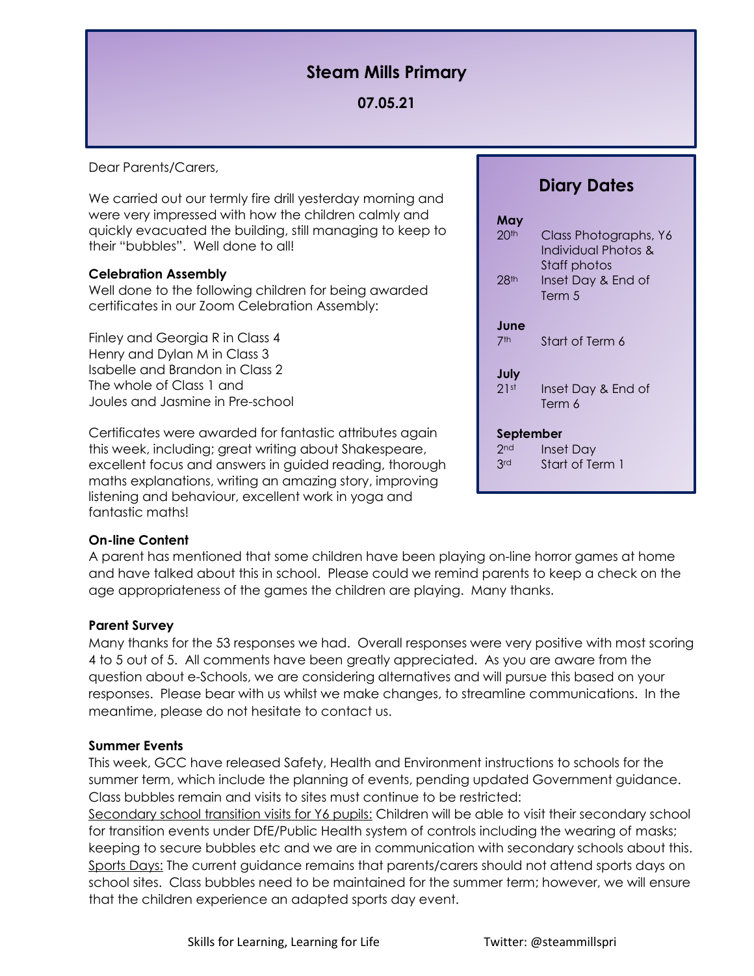# **Steam Mills Primary**

# **07.05.21**

Dear Parents/Carers,

We carried out our termly fire drill yesterday morning and were very impressed with how the children calmly and quickly evacuated the building, still managing to keep to their "bubbles". Well done to all!

## **Celebration Assembly**

Well done to the following children for being awarded certificates in our Zoom Celebration Assembly:

Finley and Georgia R in Class 4 Henry and Dylan M in Class 3 Isabelle and Brandon in Class 2 The whole of Class 1 and Joules and Jasmine in Pre-school

Certificates were awarded for fantastic attributes again this week, including; great writing about Shakespeare, excellent focus and answers in guided reading, thorough maths explanations, writing an amazing story, improving listening and behaviour, excellent work in yoga and fantastic maths!

#### **On-line Content**

A parent has mentioned that some children have been playing on-line horror games at home and have talked about this in school. Please could we remind parents to keep a check on the age appropriateness of the games the children are playing. Many thanks.

#### **Parent Survey**

Many thanks for the 53 responses we had. Overall responses were very positive with most scoring 4 to 5 out of 5. All comments have been greatly appreciated. As you are aware from the question about e-Schools, we are considering alternatives and will pursue this based on your responses. Please bear with us whilst we make changes, to streamline communications. In the meantime, please do not hesitate to contact us.

#### **Summer Events**

This week, GCC have released Safety, Health and Environment instructions to schools for the summer term, which include the planning of events, pending updated Government guidance. Class bubbles remain and visits to sites must continue to be restricted:

Secondary school transition visits for Y6 pupils: Children will be able to visit their secondary school for transition events under DfE/Public Health system of controls including the wearing of masks; keeping to secure bubbles etc and we are in communication with secondary schools about this. Sports Days: The current guidance remains that parents/carers should not attend sports days on school sites. Class bubbles need to be maintained for the summer term; however, we will ensure that the children experience an adapted sports day event.

# **Diary Dates**

| May<br>20 <sup>th</sup><br>$28$ th  | Class Photographs, Y6<br>Individual Photos &<br>Staff photos<br>Inset Day & End of<br>Term 5 |
|-------------------------------------|----------------------------------------------------------------------------------------------|
| June<br>7 <sup>th</sup>             | Start of Term 6                                                                              |
| July<br>21st                        | Inset Day & End of<br>Term 6                                                                 |
| September<br>2 <sub>nd</sub><br>3rd | Inset Day<br>Start of Term 1                                                                 |